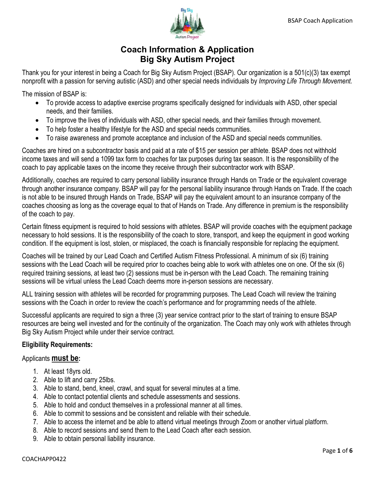

# **Coach Information & Application Big Sky Autism Project**

Thank you for your interest in being a Coach for Big Sky Autism Project (BSAP). Our organization is a 501(c)(3) tax exempt nonprofit with a passion for serving autistic (ASD) and other special needs individuals by *Improving Life Through Movement.* 

The mission of BSAP is:

- To provide access to adaptive exercise programs specifically designed for individuals with ASD, other special needs, and their families.
- To improve the lives of individuals with ASD, other special needs, and their families through movement.
- To help foster a healthy lifestyle for the ASD and special needs communities.
- To raise awareness and promote acceptance and inclusion of the ASD and special needs communities.

Coaches are hired on a subcontractor basis and paid at a rate of \$15 per session per athlete. BSAP does not withhold income taxes and will send a 1099 tax form to coaches for tax purposes during tax season. It is the responsibility of the coach to pay applicable taxes on the income they receive through their subcontractor work with BSAP.

Additionally, coaches are required to carry personal liability insurance through Hands on Trade or the equivalent coverage through another insurance company. BSAP will pay for the personal liability insurance through Hands on Trade. If the coach is not able to be insured through Hands on Trade, BSAP will pay the equivalent amount to an insurance company of the coaches choosing as long as the coverage equal to that of Hands on Trade. Any difference in premium is the responsibility of the coach to pay.

Certain fitness equipment is required to hold sessions with athletes. BSAP will provide coaches with the equipment package necessary to hold sessions. It is the responsibility of the coach to store, transport, and keep the equipment in good working condition. If the equipment is lost, stolen, or misplaced, the coach is financially responsible for replacing the equipment.

Coaches will be trained by our Lead Coach and Certified Autism Fitness Professional. A minimum of six (6) training sessions with the Lead Coach will be required prior to coaches being able to work with athletes one on one. Of the six (6) required training sessions, at least two (2) sessions must be in-person with the Lead Coach. The remaining training sessions will be virtual unless the Lead Coach deems more in-person sessions are necessary.

ALL training session with athletes will be recorded for programming purposes. The Lead Coach will review the training sessions with the Coach in order to review the coach's performance and for programming needs of the athlete.

Successful applicants are required to sign a three (3) year service contract prior to the start of training to ensure BSAP resources are being well invested and for the continuity of the organization. The Coach may only work with athletes through Big Sky Autism Project while under their service contract.

## **Eligibility Requirements:**

## Applicants **must be:**

- 1. At least 18yrs old.
- 2. Able to lift and carry 25lbs.
- 3. Able to stand, bend, kneel, crawl, and squat for several minutes at a time.
- 4. Able to contact potential clients and schedule assessments and sessions.
- 5. Able to hold and conduct themselves in a professional manner at all times.
- 6. Able to commit to sessions and be consistent and reliable with their schedule.
- 7. Able to access the internet and be able to attend virtual meetings through Zoom or another virtual platform.
- 8. Able to record sessions and send them to the Lead Coach after each session.
- 9. Able to obtain personal liability insurance.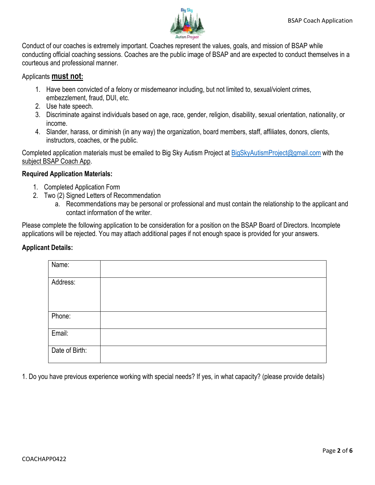

Conduct of our coaches is extremely important. Coaches represent the values, goals, and mission of BSAP while conducting official coaching sessions. Coaches are the public image of BSAP and are expected to conduct themselves in a courteous and professional manner.

#### Applicants **must not:**

- 1. Have been convicted of a felony or misdemeanor including, but not limited to, sexual/violent crimes, embezzlement, fraud, DUI, etc.
- 2. Use hate speech.
- 3. Discriminate against individuals based on age, race, gender, religion, disability, sexual orientation, nationality, or income.
- 4. Slander, harass, or diminish (in any way) the organization, board members, staff, affiliates, donors, clients, instructors, coaches, or the public.

Completed application materials must be emailed to Big Sky Autism Project at [BigSkyAutismProject@gmail.com](mailto:BigSkyAutismProject@gmail.com) with the subject BSAP Coach App.

#### **Required Application Materials:**

- 1. Completed Application Form
- 2. Two (2) Signed Letters of Recommendation
	- a. Recommendations may be personal or professional and must contain the relationship to the applicant and contact information of the writer.

Please complete the following application to be consideration for a position on the BSAP Board of Directors. Incomplete applications will be rejected. You may attach additional pages if not enough space is provided for your answers.

#### **Applicant Details:**

| Name:          |  |
|----------------|--|
|                |  |
|                |  |
| Address:       |  |
|                |  |
|                |  |
|                |  |
|                |  |
|                |  |
| Phone:         |  |
|                |  |
|                |  |
| Email:         |  |
|                |  |
|                |  |
|                |  |
|                |  |
|                |  |
| Date of Birth: |  |

1. Do you have previous experience working with special needs? If yes, in what capacity? (please provide details)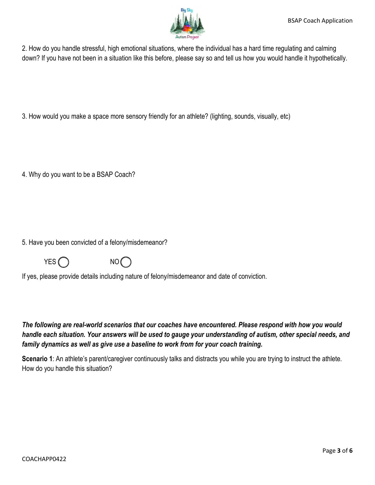

2. How do you handle stressful, high emotional situations, where the individual has a hard time regulating and calming down? If you have not been in a situation like this before, please say so and tell us how you would handle it hypothetically.

3. How would you make a space more sensory friendly for an athlete? (lighting, sounds, visually, etc)

4. Why do you want to be a BSAP Coach?

5. Have you been convicted of a felony/misdemeanor?



If yes, please provide details including nature of felony/misdemeanor and date of conviction.

*The following are real-world scenarios that our coaches have encountered. Please respond with how you would handle each situation. Your answers will be used to gauge your understanding of autism, other special needs, and family dynamics as well as give use a baseline to work from for your coach training.* 

**Scenario 1**: An athlete's parent/caregiver continuously talks and distracts you while you are trying to instruct the athlete. How do you handle this situation?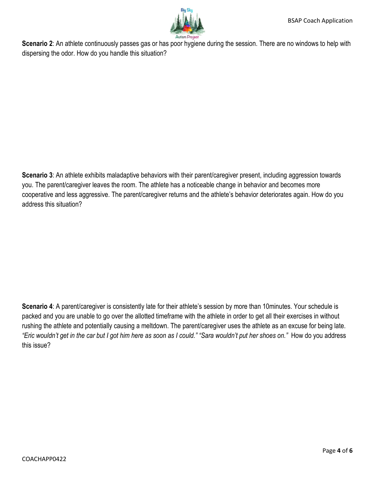

**Scenario 2**: An athlete continuously passes gas or has poor hygiene during the session. There are no windows to help with dispersing the odor. How do you handle this situation?

**Scenario 3**: An athlete exhibits maladaptive behaviors with their parent/caregiver present, including aggression towards you. The parent/caregiver leaves the room. The athlete has a noticeable change in behavior and becomes more cooperative and less aggressive. The parent/caregiver returns and the athlete's behavior deteriorates again. How do you address this situation?

**Scenario 4**: A parent/caregiver is consistently late for their athlete's session by more than 10minutes. Your schedule is packed and you are unable to go over the allotted timeframe with the athlete in order to get all their exercises in without rushing the athlete and potentially causing a meltdown. The parent/caregiver uses the athlete as an excuse for being late. *"Eric wouldn't get in the car but I got him here as soon as I could." "Sara wouldn't put her shoes on."* How do you address this issue?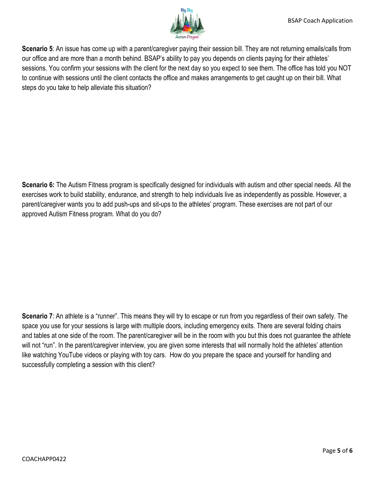

**Scenario 5**: An issue has come up with a parent/caregiver paying their session bill. They are not returning emails/calls from our office and are more than a month behind. BSAP's ability to pay you depends on clients paying for their athletes' sessions. You confirm your sessions with the client for the next day so you expect to see them. The office has told you NOT to continue with sessions until the client contacts the office and makes arrangements to get caught up on their bill. What steps do you take to help alleviate this situation?

**Scenario 6:** The Autism Fitness program is specifically designed for individuals with autism and other special needs. All the exercises work to build stability, endurance, and strength to help individuals live as independently as possible. However, a parent/caregiver wants you to add push-ups and sit-ups to the athletes' program. These exercises are not part of our approved Autism Fitness program. What do you do?

**Scenario 7**: An athlete is a "runner". This means they will try to escape or run from you regardless of their own safety. The space you use for your sessions is large with multiple doors, including emergency exits. There are several folding chairs and tables at one side of the room. The parent/caregiver will be in the room with you but this does not guarantee the athlete will not "run". In the parent/caregiver interview, you are given some interests that will normally hold the athletes' attention like watching YouTube videos or playing with toy cars. How do you prepare the space and yourself for handling and successfully completing a session with this client?